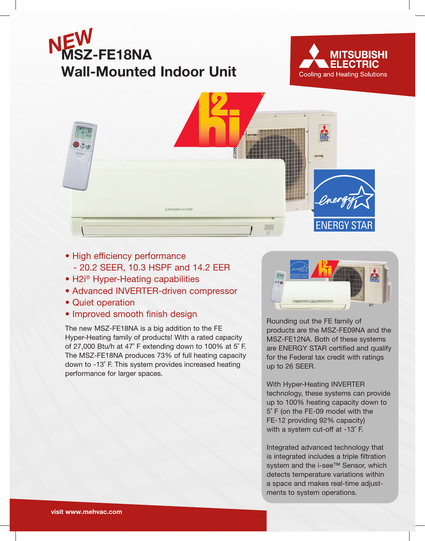





- High efficiency performance
	- 20.2 SEER, 10.3 HSPF and 14.2 EER
- H2i<sup>®</sup> Hyper-Heating capabilities
- Advanced INVERTER-driven compressor
- Quiet operation
- Improved smooth finish design

The new MSZ-FE18NA is a big addition to the FE Hyper-Heating family of products! With a rated capacity of 27,000 Btu/h at 47˚ F extending down to 100% at 5˚ F. The MSZ-FE18NA produces 73% of full heating capacity down to -13˚ F. This system provides increased heating performance for larger spaces.



Rounding out the FE family of products are the MSZ-FE09NA and the MSZ-FE12NA. Both of these systems are ENERGY STAR certified and qualify for the Federal tax credit with ratings up to 26 SEER.

With Hyper-Heating INVERTER technology, these systems can provide up to 100% heating capacity down to 5˚ F (on the FE-09 model with the FE-12 providing 92% capacity) with a system cut-off at -13˚ F.

Integrated advanced technology that is integrated includes a triple filtration system and the i-see™ Sensor, which detects temperature variations within a space and makes real-time adjustments to system operations.